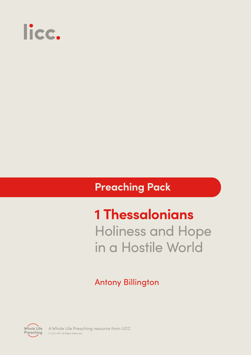

### **Preaching Pack**

# **1 Thessalonians**  Holiness and Hope in a Hostile World

### Antony Billington



A Whole Life Preaching resource from LICC. © LICC 2017. All Rights Reserved.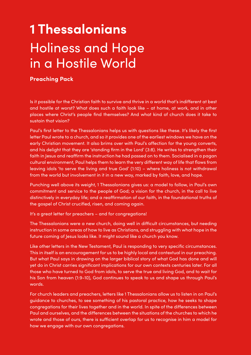# **1 Thessalonians**  Holiness and Hope in a Hostile World

#### **Preaching Pack**

Is it possible for the Christian faith to survive and thrive in a world that's indifferent at best and hostile at worst? What does such a faith look like – at home, at work, and in other places where Christ's people find themselves? And what kind of church does it take to sustain that vision?

Paul's first letter to the Thessalonians helps us with questions like these. It's likely the first letter Paul wrote to a church, and so it provides one of the earliest windows we have on the early Christian movement. It also brims over with Paul's affection for the young converts, and his delight that they are 'standing firm in the Lord' (3:8). He writes to strengthen their faith in Jesus and reaffirm the instruction he had passed on to them. Socialised in a pagan cultural environment, Paul helps them to learn the very different way of life that flows from leaving idols 'to serve the living and true God' (1:10) – where holiness is not withdrawal from the world but involvement in it in a new way, marked by faith, love, and hope.

Punching well above its weight, 1 Thessalonians gives us: a model to follow, in Paul's own commitment and service to the people of God; a vision for the church, in the call to live distinctively in everyday life; and a reaffirmation of our faith, in the foundational truths of the gospel of Christ crucified, risen, and coming again.

It's a great letter for preachers – and for congregations!

The Thessalonians were a new church, doing well in difficult circumstances, but needing instruction in some areas of how to live as Christians, and struggling with what hope in the future coming of Jesus looks like. It might sound like a church you know.

Like other letters in the New Testament, Paul is responding to very specific circumstances. This in itself is an encouragement for us to be highly local and contextual in our preaching. But what Paul says in drawing on the larger biblical story of what God has done and will yet do in Christ carries significant implications for our own contexts centuries later. For all those who have turned to God from idols, to serve the true and living God, and to wait for his Son from heaven (1:9-10), God continues to speak to us and shape us through Paul's words.

For church leaders and preachers, letters like 1 Thessalonians allow us to listen in on Paul's guidance to churches, to see something of his pastoral practice, how he seeks to shape congregations for their lives together and in the world. In spite of the differences between Paul and ourselves, and the differences between the situations of the churches to which he wrote and those of ours, there is sufficient overlap for us to recognise in him a model for how we engage with our own congregations.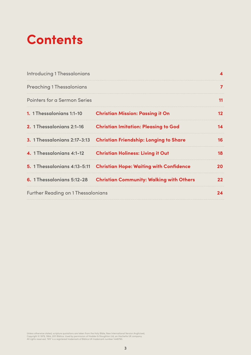# **Contents**

| <b>Introducing 1 Thessalonians</b>        |                                                                      |     |
|-------------------------------------------|----------------------------------------------------------------------|-----|
| <b>Preaching 1 Thessalonians</b>          |                                                                      |     |
| Pointers for a Sermon Series              |                                                                      | 11  |
|                                           | 1. 1 Thessalonians 1:1-10 Christian Mission: Passing it On           | 12  |
|                                           | 2. 1 Thessalonians 2:1-16 Christian Imitation: Pleasing to God       | 14  |
|                                           | 3. 1 Thessalonians 2:17-3:13 Christian Friendship: Longing to Share  | 16  |
| 4. 1 Thessalonians 4:1-12                 | <b>Christian Holiness: Living it Out</b>                             | 18  |
|                                           | 5. 1 Thessalonians 4:13-5:11 Christian Hope: Waiting with Confidence | 20  |
|                                           | 6. 1 Thessalonians 5:12-28 Christian Community: Walking with Others  | 22. |
| <b>Further Reading on 1 Thessalonians</b> |                                                                      | 24  |

Unless otherwise stated, scripture quotations are taken from the Holy Bible, New International Version Anglicised,<br>Copyright © 1979, 1984, 2011 Biblica. Used by permission of Hodder & Stoughton Ltd, an Hachette UK company.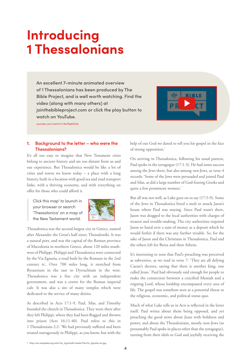## **Introducing 1 Thessalonians**

**An excellent 7-minute animated overview of 1 Thessalonians has been produced by The Bible Project, and is well worth watching. Find the video (along with many others) at jointhebibleproject.com or click the play button to watch on YouTube.**



youtube.com/watch?v=No7Nq6IX23c

#### **1. Background to the letter – who were the Thessalonians?**

It's all too easy to imagine that New Testament cities belong to ancient history and are too distant from us and our experience. But Thessalonica would be like a lot of cities and towns we know today – a place with a long history, built in a location with good sea and road transport links, with a thriving economy, and with everything on offer for those who could afford it.

Click this map<sup>1</sup> to launch in your browser or search 'Thessalonica' on a map of the New Testament world.



Thessalonica was the second-largest city in Greece, named after Alexander the Great's half sister, Thessaloniki. It was a natural port, and was the capital of the Roman province of Macedonia in northern Greece, about 120 miles southwest of Philippi. Philippi and Thessalonica were connected by the Via Egnatia, a road built by the Romans in the 2nd century bc. Over 700 miles long, it stretched from Byzantium in the east to Dyrrachium in the west. Thessalonica was a free city with an independent government, and was a centre for the Roman imperial cult. It was also a site of many temples which were dedicated to the service of many deities.

As described in Acts 17:1-9, Paul, Silas, and Timothy founded the church in Thessalonica. They went there after they left Philippi, where they had been flogged and thrown into prison (Acts 16:11-40). Paul refers to this in 1 Thessalonians 2:2: 'We had previously suffered and been treated outrageously in Philippi, as you know, but with the

help of our God we dared to tell you his gospel in the face of strong opposition.'

On arriving in Thessalonica, following his usual pattern, Paul spoke in the synagogue (17:1-3). He had some success among the Jews there, but also among *non*-Jews, as verse 4 records: 'Some of the Jews were persuaded and joined Paul and Silas, as did a large number of God-fearing Greeks and quite a few prominent women.'

But all was not well, as Luke goes on to say (17:5-9). Some of the Jews in Thessalonica hired a mob to attack Jason's house where Paul was staying. Since Paul wasn't there, Jason was dragged to the local authorities with charges of treason and trouble-making. The city authorities required Jason to hand over a sum of money as a deposit which he would forfeit if there was any further trouble. So, for the sake of Jason and the Christians in Thessalonica, Paul and the others left for Berea and then Athens.

It's interesting to note that Paul's preaching was perceived as subversive, as we read in verse 7: 'They are all defying Caesar's decrees, saying that there is another king, one called Jesus.' Paul had obviously said enough for people to make the connection between a crucified Messiah and a reigning Lord, whose lordship encompassed every area of life. The gospel was somehow seen as a potential threat to the religious, economic, and political status quo.

Much of what Luke tells us in Acts is reflected in the letter itself. Paul writes about them being opposed, and yet preaching the good news about Jesus with boldness and power, and about the Thessalonians, mostly non-Jews (so presumably Paul spoke in places other than the synagogue), turning from their idols to God and joyfully receiving the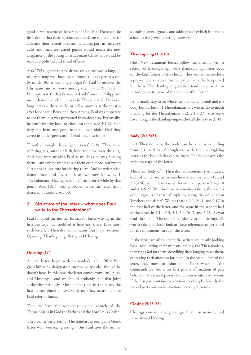good news in spite of harassment (1:4-10). There can be little doubt that their rejection of the claims of the imperial cult and their refusal to continue taking part in the city's cults and their associated guilds would mean the new allegiance of the young Thessalonians Christians would be seen as a political and social offence.

Acts 17:2 suggests their visit was only three weeks long. In reality it may well have been longer, though perhaps not by much. But it was long enough for Paul to instruct the Christians and to work among them (and Paul says in Philippians 4:16 that he received aid from the Philippians more than once while he was in Thessalonica). However long it was – three weeks or a few months at the most – after leaving for Berea and then Athens, Paul was desperate to see them, but was prevented from doing so. Eventually, he sent Timothy back to check on them (see 3:1-2). Had they left Jesus and gone back to their idols? Had they caved in under persecution? Had they lost hope?

Timothy brought back 'good news' (3:8). They were suffering, yes, but their faith, love, and hope were thriving. And they were missing Paul as much as he was missing them. Paul says he wants to see them even more, but writes a letter as a substitute for visiting them. And he writes with thankfulness and joy the letter we now know as 1 Thessalonians. Having been in Corinth for a while by this point (Acts 18:1), Paul probably wrote the letter from there, in or around AD 50.

#### **2. Structure of the letter – what does Paul write to the Thessalonians?**

Paul followed the normal format for letter-writing in the first century, but modified it here and there. Like most such letters, 1 Thessalonians contains four major sections: Opening, Thanksgiving, Body, and Closing.

#### **Opening (1:1)**

Ancient letters began with the sender's name. Often Paul gives himself a designation, normally 'apostle', though he doesn't here. In this case, the letter comes from Paul, Silas, and Timothy – and we should probably take that joint authorship seriously. Most of the time in the letter, the first person plural is used. Only on a few occasions does Paul refer to himself.

Then we have the recipients: 'to the church of the Thessalonians in God the Father and the Lord Jesus Christ.'

Then comes the greeting. The standard greeting in a Greek letter was *chairein*, 'greetings'. But Paul uses the similar sounding *charis*, 'grace', and adds 'peace' (which is perhaps a nod to the Jewish greeting, *shalom*).

#### **Thanksgiving (1:2-10)**

Most New Testament letters follow the opening with a section of thanksgiving. Paul's thanksgivings often focus on the faithfulness of the church; they sometimes include a prayer report, where Paul tells them what he has prayed for them. The thanksgiving section tends to provide an introduction to some of the themes of the letter.

It's normally easy to see where the thanksgiving ends and the body begins, but in 1 Thessalonians, the writers do so much thanking for the Thessalonians (1:2; 2:13; 3:9) that some have thought the thanksgiving reaches all the way to 3:10!

#### **Body (2:1-5:24)**

In 1 Thessalonians, the body can be seen as extending from 2:1 to 5:24, although (as with the thanksgiving section) the boundaries can be fuzzy. The body carries the main message of the letter.

The main body of 1 Thessalonians contains two prayers, each of which seems to conclude a section (3:11-13 and 5:23-24), which leaves us with two main parts  $-2:1-3:10$ and 4:1-5:22. Within those two main sections, the writers often signal a change of topic by using the designation 'brothers and sisters'. We see that in 2:1, 2:14, and 2:17 in the first half of the letter, and the same in the second half of the letter, in 4:1, 4:13, 5:1, 5:4, 5:12, and 5:25. As you read through 1 Thessalonians (ideally in one sitting), it's worth taking a closer look at these references to get a feel for the movement through the letter.

In the first part of the letter, the writers are mostly looking back, recollecting their ministry among the Thessalonians, thanking God for them, describing their longing to see them, expressing their affection for them. In the second part of the letter, they move to exhortation. That's where all the commands are. So, if the first part is affirmations of past behaviour, the second part is exhortations to future behaviour. If the first part contains recollections, looking backwards, the second part contains instructions, looking forwards.

#### **Closing (5:25-28)**

Closings contain any greetings, final instructions, and sometimes a blessing.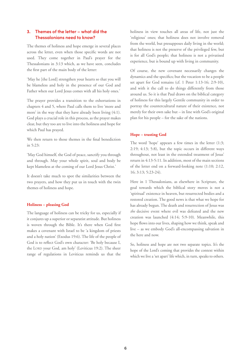#### **3. Themes of the letter – what did the Thessalonians need to know?**

The themes of holiness and hope emerge in several places across the letter, even when those specific words are not used. They come together in Paul's prayer for the Thessalonians in 3:13 which, as we have seen, concludes the first part of the main body of the letter:

'May he [the Lord] strengthen your hearts so that you will be blameless and holy in the presence of our God and Father when our Lord Jesus comes with all his holy ones.'

The prayer provides a transition to the exhortations in chapters 4 and 5, where Paul calls them to live 'more and more' in the way that they have already been living (4:1). God plays a crucial role in this process, as the prayer makes clear, but they too are to live into the holiness and hope for which Paul has prayed.

We then return to those themes in the final benediction in 5:23:

'May God himself, the God of peace, sanctify you through and through. May your whole spirit, soul and body be kept blameless at the coming of our Lord Jesus Christ.'

It doesn't take much to spot the similarities between the two prayers, and how they put us in touch with the twin themes of holiness and hope.

#### **Holiness – pleasing God**

The language of holiness can be tricky for us, especially if it conjures up a superior or separatist attitude. But holiness is woven through the Bible. It's there when God first makes a covenant with Israel to be 'a kingdom of priests and a holy nation' (Exodus 19:6). The life of the people of God is to reflect God's own character: 'Be holy because I, the LORD your God, am holy' (Leviticus 19:2). The sheer range of regulations in Leviticus reminds us that the

holiness in view touches all areas of life, not just the 'religious' ones; that holiness does not involve removal from the world, but presupposes daily living in the world; that holiness is not the preserve of the privileged few, but is for all God's people; that holiness is not a privatised experience, but is bound up with living in community.

Of course, the new covenant necessarily changes the dynamics and the specifics; but the vocation to be a people set apart for God remains (cf. 1 Peter 1:13-16; 2:9-10), and with it the call to do things differently from those around us. So it is that Paul draws on the biblical category of holiness for this largely Gentile community in order to portray the countercultural nature of their existence, not merely for their own sake but – in line with God's original plan for his people – for the sake of the nations.

#### **Hope – trusting God**

The word 'hope' appears a few times in the letter (1:3; 2:19; 4:13; 5:8), but the topic occurs in different ways throughout, not least in the extended treatment of Jesus' return in 4:13-5:11. In addition, most of the main sections of the letter end on a forward-looking note (1:10; 2:12, 16; 3:13; 5:23-24).

Here in 1 Thessalonians, as elsewhere in Scripture, the goal towards which the biblical story moves is not a 'spiritual' existence in heaven, but resurrected bodies and a restored creation. The good news is that what we hope for has already begun. The death and resurrection of Jesus was *the* decisive event where evil was defeated and the new creation was launched (4:14; 5:9-10). Meanwhile, this hope flows into our lives, shaping how we think, speak and live – as we embody God's all-encompassing salvation in the here and now.

So, holiness and hope are not two separate topics. It's the hope of the Lord's coming that provides the context within which we live a 'set apart' life which, in turn, speaks to others.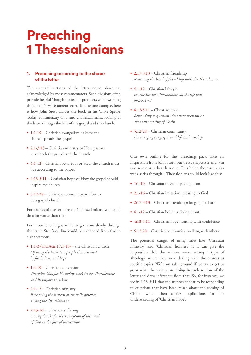## **Preaching 1 Thessalonians**

#### **1. Preaching according to the shape of the letter**

The standard sections of the letter noted above are acknowledged by most commentators. Such divisions often provide helpful 'thought units' for preachers when working through a New Testament letter. To take one example, here is how John Stott divides the book in his 'Bible Speaks Today' commentary on 1 and 2 Thessalonians, looking at the letter through the lens of the gospel and the church.

- 1:1-10 Christian evangelism or How the church spreads the gospel
- 2:1-3:13 Christian ministry or How pastors serve both the gospel and the church
- 4:1-12 Christian behaviour or How the church must live according to the gospel
- 4:13-5:11 Christian hope or How the gospel should inspire the church
- 5:12-28 Christian community or How to be a gospel church

For a series of five sermons on 1 Thessalonians, you could do a lot worse than that!

For those who might want to go more slowly through the letter, Stott's outline could be expanded from five to eight sermons:

- 1:1-3 (and Acts 17:1-15) the Christian church *Opening the letter to a people characterised by faith, love, and hope*
- 1:4-10 Christian conversion *Thanking God for his saving work in the Thessalonians and its impact on others*
- 2:1-12 Christian ministry *Rehearsing the pattern of apostolic practice among the Thessalonians*
- 2:13-16 Christian suffering *Giving thanks for their reception of the word of God in the face of persecution*
- 2:17-3:13 Christian friendship *Renewing the bond of friendship with the Thessalonians*
- 4:1-12 Christian lifestyle *Instructing the Thessalonians on the life that pleases God*
- $\cdot$  4:13-5:11 Christian hope *Responding to questions that have been raised about the coming of Christ*
- 5:12-28 Christian community *Encouraging congregational life and worship*

Our own outline for this preaching pack takes its inspiration from John Stott, but treats chapters 2 and 3 in two sermons rather than one. This being the case, a sixweek series through 1 Thessalonians could look like this:

- 1:1-10 Christian mission: passing it on
- 2:1-16 Christian imitation: pleasing to God
- 2:17-3:13 Christian friendship: longing to share
- 4:1-12 Christian holiness: living it out
- 4:13-5:11 Christian hope: waiting with confidence
- 5:12-28 Christian community: walking with others

The potential danger of using titles like 'Christian ministry' and 'Christian holiness' is it can give the impression that the authors were writing a type of 'theology' where they were dealing with those areas as specific topics. We're on safer ground if we try to get to grips what the writers are doing in each section of the letter and draw inferences from that. So, for instance, we see in 4:13-5:11 that the authors appear to be responding to questions that have been raised about the coming of Christ, which then carries implications for our understanding of 'Christian hope'.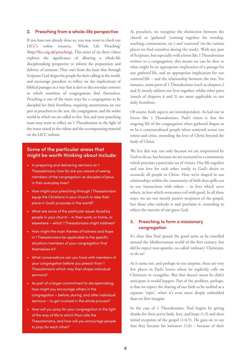#### **2. Preaching from a whole-life perspective**

If you have not already done so, you may want to check out LICC's online resource, 'Whole Life Preaching' (http://licc.org.uk/preaching). This series of six short videos explores the significance of allowing a whole-life disciplemaking perspective to inform the preparation and delivery of sermons. They start from the basis that through Scripture God shapes his people for their calling in the world, and encourage preachers to reflect on the implications of biblical passages in a way that is alert to the everyday contexts in which members of congregations find themselves. Preaching is one of the main ways for a congregation to be discipled for their frontlines, requiring attentiveness on our part as preachers to the text, the congregation, and the wider world in which we are called to live. You and your preaching team may want to reflect on 1 Thessalonians in the light of the issues raised in the videos and the accompanying material on the LICC website.

#### **Some of the particular areas that might be worth thinking about include:**

- In preparing and delivering sermons on 1 Thessalonians, how far are you aware of seeing members of the congregation as disciples of Jesus in their everyday lives?
- How might your preaching through 1 Thessalonians equip the Christians in your church to take their place in God's purposes in the world?
- What are some of the particular issues faced by people in your church – in their work, or home, or elsewhere – which 1 Thessalonians might address?
- How might the main themes of holiness and hope in 1 Thessalonians be applicable to the specific situations members of your congregation find themselves in?
- What conversations can you have with members of your congregation before you preach from 1 Thessalonians which may then shape individual sermons?
- As part of a larger commitment to disciplemaking, how might you encourage others in the congregation – before, during, and after individual sermons – to get involved in the whole process?
- How will you pray for your congregation in the light of the way of life to which Paul calls the Thessalonians, and how will you encourage people to pray for each other?

As preachers, we recognise the distinction between the church as 'gathered' (coming together for worship, teaching, communion, etc.) and 'scattered' (in the various places we find ourselves during the week). With any part of Scripture, but especially with a letter like 1 Thessalonians written to a congregation, this means we can be alert to what might be an appropriate implication of a passage for our *gathered* life, and an appropriate implication for our *scattered* life – and the relationship between the two. For instance, some parts of 1 Thessalonians (such as chapters 2 and 3) mostly address our lives together, whilst other parts (much of chapters 4 and 5) are more applicable to our daily frontlines.

Of course, both aspects are interdependent. As laid out in letters like 1 Thessalonians, Paul's vision is that the ongoing life of the congregation when gathered shapes us to be a countercultural people when scattered across our towns and cities, extending the love of Christ beyond the body of Christ.

We live this way not only because we are empowered by God to do so, but because we are nurtured in a community which practises a particular set of virtues. Our life together and our love for each other testify to God's desire to reconcile all people in Christ. How we're shaped in our relationships within the community of faith then spills out in our interactions with others – in lives which serve others, in love which overcomes evil with good. In all these ways, we are not merely passive recipients of the gospel, but those who embody it and proclaim it, extending to others the mercies of our great God.

#### **3. Preaching to form a missionary congregation**

It's clear that Paul spread the good news as he travelled around the Mediterranean world of the first century, but did he expect non-apostles, so-called 'ordinary' Christians, to do so?

As it turns out, and perhaps to our surprise, there are very few places in Paul's letters where he explicitly calls on Christians to evangelise. But that doesn't mean he didn't anticipate it would happen. Part of the problem, perhaps, is that we expect the sharing of our faith to be tackled as a separate 'topic', when it's even more deeply embedded than we first imagine.

In the case of 1 Thessalonians, Paul begins by giving thanks for their active faith, love, and hope (1:3) and their initial reception of the gospel (1:4-5). He goes on to say that they became his imitators  $(1:6)$  – because of their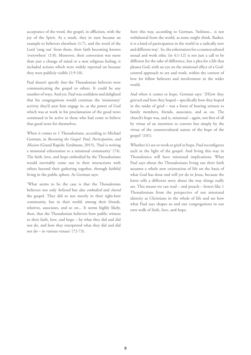acceptance of the word, the gospel, in affliction, with the joy of the Spirit. As a result, they in turn became an example to believers elsewhere (1:7), and the word of the Lord 'rang out' from them, their faith becoming known 'everywhere' (1:8). Moreover, their conversion was more than just a change of mind or a new religious feeling; it included actions which were widely reported on because they were publicly visible (1:9-10).

Paul doesn't specify *how* the Thessalonian believers were communicating the gospel to others. It could be any number of ways. And yet, Paul was confident and delighted that his congregations would continue the 'missionary' activity they'd seen him engage in, as the power of God which was at work in his proclamation of the good news continued to be active in those who had come to believe that good news for themselves.

When it comes to 1 Thessalonians, according to Michael Gorman, in *Becoming the Gospel: Paul, Participation, and Mission* (Grand Rapids: Eerdmans, 2015), 'Paul is writing a missional exhortation to a missional community' (74). The faith, love, and hope embodied by the Thessalonians would inevitably come out in their interactions with others beyond their gathering together, through faithful living in the public sphere. As Gorman says:

'What seems to be the case is that the Thessalonian believers not only *believed* but also *embodied* and *shared* the gospel. They did so not merely in their tight-knit community, but in their world: among their friends, relatives, associates, and so on... It seems highly likely, then, that the Thessalonian believers bore public witness to their faith, love, and hope – by what they did and did not do, and how they interpreted what they did and did not do – in various venues' (72-73).

Seen this way, according to Gorman, 'holiness... is not withdrawal from the world, as some might think. Rather, it is a kind of participation in the world in a radically new and different way'. So, the exhortation for a countercultural sexual and work ethic (in 4:1-12) is not just a call to be different for the sake of difference, but a plea for a life that pleases God, with an eye on the missional effect of a Godcentred approach to sex and work, within the context of love for fellow believers and involvement in the wider world.

And when it comes to hope, Gorman says: '[H]ow they grieved and how they hoped – specifically how they hoped in the midst of grief – was a form of bearing witness to family members, friends, associates, and so on. The church's hope was, and is, missional – again, not first of all by virtue of an intention to convert but simply by the virtue of the countercultural nature of the hope of the gospel' (101).

Whether it's sex or work or grief or hope, Paul reconfigures each in the light of the gospel. And living this way in Thessalonica will have missional implications. What Paul says about the Thessalonians living out their faith assumes a whole new orientation of life on the basis of what God has done and will yet do in Jesus, because the letter tells a different story about the way things really are. This means we can read – and preach – letters like 1 Thessalonians from the perspective of our missional identity as Christians in the whole of life and see how what Paul says shapes us and our congregations in our own walk of faith, love, and hope.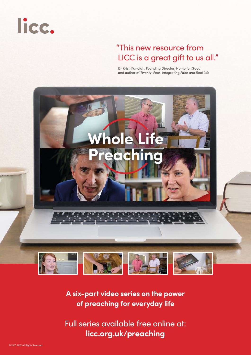

### "This new resource from LICC is a great gift to us all."

Dr Krish Kandiah, Founding Director: Home for Good, and author of Twenty-Four: Integrating Faith and Real Life



**A six-part video series on the power of preaching for everyday life** 

[Full series available free online at:](http://licc.org.uk/preaching)  **licc.org.uk/preaching**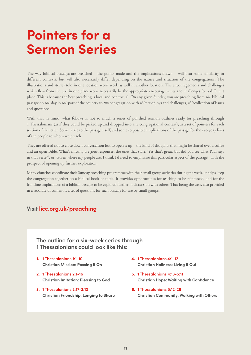## **Pointers for a Sermon Series**

The way biblical passages are preached – the points made and the implications drawn – will bear some similarity in different contexts, but will also necessarily differ depending on the nature and situation of the congregations. The illustrations and stories told in one location won't work as well in another location. The encouragements and challenges which flow from the text in one place won't necessarily be the appropriate encouragements and challenges for a different place. This is because the best preaching is local and contextual. On any given Sunday, you are preaching from *this* biblical passage on *this* day in *this* part of the country to *this* congregation with *this* set of joys and challenges, *this* collection of issues and questions.

With that in mind, what follows is not so much a series of polished sermon outlines ready for preaching through 1 Thessalonians (as if they could be picked up and dropped into any congregational context), as a set of pointers for each section of the letter. Some relate to the passage itself, and some to possible implications of the passage for the everyday lives of the people to whom we preach.

They are offered not to close down conversation but to open it up – the kind of thoughts that might be shared over a coffee and an open Bible. What's missing are *your* responses, the ones that start, 'Yes that's great, but did you see what Paul says in that verse?', or 'Given where my people are, I think I'd need to emphasise this particular aspect of the passage', with the prospect of opening up further exploration.

Many churches coordinate their Sunday preaching programme with their small group activities during the week. It helps keep the congregation together on a biblical book or topic. It provides opportunities for teaching to be reinforced, and for the frontline implications of a biblical passage to be explored further in discussion with others. That being the case, also provided in a separate document is a set of questions for each passage for use by small groups.

#### **Visit [licc.org.uk/preaching](http://licc.org.uk/preaching)**

#### **The outline for a six-week series through 1 Thessalonians could look like this:**

- **1. 1 Thessalonians 1:1-10 Christian Mission: Passing it On**
- **2. 1 Thessalonians 2:1-16 Christian Imitation: Pleasing to God**
- **3. 1 Thessalonians 2:17-3:13 Christian Friendship: Longing to Share**
- **4. 1 Thessalonians 4:1-12 Christian Holiness: Living it Out**
- **5. 1 Thessalonians 4:13-5:11 Christian Hope: Waiting with Confidence**
- **6. 1 Thessalonians 5:12-28 Christian Community: Walking with Others**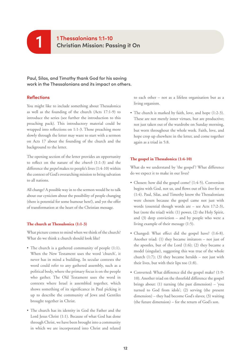**1 Thessalonians 1:1-10 1 Christian Mission: Passing it On**

#### **Paul, Silas, and Timothy thank God for his saving work in the Thessalonians and its impact on others.**

#### **Reflections**

You might like to include something about Thessalonica as well as the founding of the church (Acts 17:1-9) to introduce the series (see further the introduction to this preaching pack). This introductory material could be wrapped into reflections on 1:1-3. Those preaching more slowly through the letter may want to start with a sermon on Acts 17 about the founding of the church and the background to the letter.

The opening section of the letter provides an opportunity to reflect on the nature of the *church* (1:1-3) and the difference the *gospel* makes to people's lives (1:4-10) within the context of God's overarching mission to bring salvation to all nations.

All change? A possible way in to the sermon would be to talk about our cynicism about the possibility of people changing (there is potential for some humour here!), and yet the offer of transformation at the heart of the Christian message.

#### **The church at Thessalonica (1:1-3)**

What picture comes to mind when we think of the church? What do we think a church should look like?

- The church is a gathered community of people (1:1). When the New Testament uses the word 'church', it never has in mind a building. In secular contexts the word could refer to any gathered assembly, such as a political body, where the primary focus is on the people who gather. The Old Testament uses the word in contexts where Israel is assembled together, which shows something of its significance in Paul picking it up to describe the community of Jews and Gentiles brought together in Christ.
- The church has its identity in God the Father and the Lord Jesus Christ (1:1). Because of what God has done through Christ, we have been brought into a community in which we are incorporated into Christ and related

to each other – not as a lifeless organisation but as a living organism.

• The church is marked by faith, love, and hope (1:2-3). These are not merely inner virtues, but are productive; not just taken out of the wardrobe on Sunday morning, but worn throughout the whole week. Faith, love, and hope crop up elsewhere in the letter, and come together again as a triad in 5:8.

#### **The gospel in Thessalonica (1:4-10)**

What do we understand by 'the gospel'? What difference do we expect it to make in our lives?

- Chosen: how did the gospel come? (1:4-5). Conversion begins with God, not us, and flows out of his *love* for us (1:4). Paul, Silas, and Timothy know the Thessalonians were chosen because the gospel came not just with words (essential though words are – see Acts 17:2-3), but (note the triad) with: (1) power, (2) the Holy Spirit, and (3) deep conviction – and by people who were a living example of their message (1:5).
- Changed: What effect did the gospel have? (1:6-8). Another triad: (1) they became imitators – not just of the apostles, but of the Lord (1:6); (2) they became a model (singular), suggesting this was true of the whole church (1:7); (3) they became heralds – not just with their lives, but with their lips too (1:8).
- Converted: What difference did the gospel make? (1:9- 10). Another triad on the threefold difference the gospel brings about: (1) turning (the past dimension) – 'you turned to God from idols'; (2) serving (the present dimension) – they had become God's slaves; (3) waiting (the future dimension) – for the return of God's son.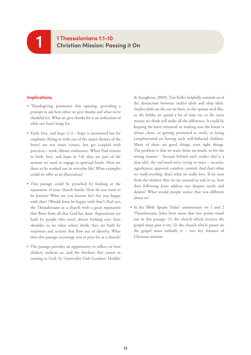### **1 Thessalonians 1:1-10 Christian Mission: Passing it On**

#### **Implications**

**1**

- Thanksgiving permeates this opening, providing a prompt to ask how often we give thanks and what we're thankful for. What we give thanks for is an indication of what our heart longs for.
- Faith, love, and hope (1:3 hope is mentioned last for emphasis, fitting in with one of the major themes of the letter) are not inner virtues, but get coupled with practices – work, labour, endurance. When Paul returns to faith, love, and hope in 5:8, they are part of the armour we need to engage in spiritual battle. How are these to be worked out in everyday life? What examples could we offer as an illustration?
- This passage could be preached by looking at the reputation of your church family. How do you want to be known? What are you known for? Are you happy with that? (Would Jesus be happy with that?) Paul sees the Thessalonians as a church with a great reputation that flows from all that God has done. Reputations are built by people who aren't always looking over their shoulder to see what others think; they are built by responses and actions that flow out of identity. What does this passage encourage you to pray for as a church?
- The passage provides an opportunity to reflect on how idolatry enslaves us, and the freedom that comes in turning to God. In *Counterfeit Gods* (London: Hodder

& Stoughton, 2009), Tim Keller helpfully reminds us of the distinction between *surface* idols and *deep* idols. *Surface* idols are the car we have, or the spouse we'd like, or the hobby we spend a lot of time on, or the extra money we think will make all the difference. It could be keeping the lawn trimmed, or making sure the house is always clean, or getting promoted at work, or being complimented on having such well-behaved children. Many of these are good things, even right things. The problem is that we want them *too* much, or for the wrong reasons – because behind each *surface* idol is a *deep* idol, the *real* need we're trying to meet – security, significance, approval, comfort, control. And that's what we *really* worship, that's what we really love. If we turn from the idolatry that we see around us and in us, how does following Jesus address our deepest needs and desires? What would people notice that was different about us?

• In his 'Bible Speaks Today' commentary on 1 and 2 Thessalonians, John Stott notes that two points stand out in this passage: (1) the church which receives the gospel must pass it on; (2) the church which passes on the gospel must embody it – two key features of Christian mission.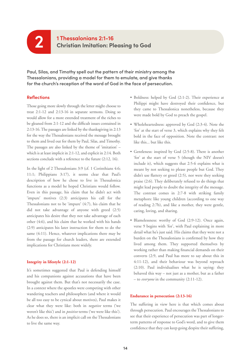### **1 Thessalonians 2:1-16 2 Christian Imitation: Pleasing to God**

**Paul, Silas, and Timothy spell out the pattern of their ministry among the Thessalonians, providing a model for them to emulate, and give thanks for the church's reception of the word of God in the face of persecution.**

#### **Reflections**

Those going more slowly through the letter might choose to treat 2:1-12 and 2:13-16 in separate sermons. Doing so would allow for a more extended treatment of the riches to be gleaned from 2:1-12 and the difficult issues contained in 2:13-16. The passages are linked by the thanksgiving in 2:13 for the way the Thessalonians received the message brought to them and lived out for them by Paul, Silas, and Timothy. The passages are also linked by the theme of 'imitation' – which is at least implicit in 2:1-12, and explicit in 2:14. Both sections conclude with a reference to the future (2:12, 16).

In the light of 2 Thessalonians 3:9 (cf. 1 Corinthians 4:6; 11:1; Philippians 3:17), it seems clear that Paul's description of how he chose to live in Thessalonica functions as a model he hoped Christians would follow. Even in this passage, his claim that he didn't act with 'impure' motives (2:3) anticipates his call for the Thessalonians not to be 'impure' (4:7), his claim that he did not take advantage of anyone with greed (2:5) anticipates his desire that they not take advantage of each other (4:6), and his claim that he worked with his hands (2:9) anticipates his later instruction for them to do the same (4:11). Hence, whatever implications there may be from the passage for church leaders, there are extended implications for Christians more widely.

#### **Integrity in lifestyle (2:1-12)**

It's sometimes suggested that Paul is defending himself and his companions against accusations that have been brought against them. But that's not necessarily the case. In a context where the apostles were competing with other wandering teachers and philosophers (and where it would be all too easy to be cynical about motives), Paul makes it clear what they were like: both in *negative* terms ('we weren't like this') and in *positive* terms ('we were like this'). As he does so, there is an implicit call on the Thessalonians to live the same way.

- Boldness: helped by God (2:1-2). Their experience at Philippi might have destroyed their confidence, but they came to Thessalonica nonetheless, because they were made bold by God to preach the gospel.
- Wholeheartedness: approved by God (2:3-4). Note the 'for' at the start of verse 3, which explains why they felt bold in the face of opposition. Note the contrast: not like this... but like this.
- Gentleness: inspired by God (2:5-8). There is another 'for' at the start of verse 5 (though the NIV doesn't include it), which suggests that 2:5-6 explains what is meant by not seeking to please people but God. They didn't use flattery or greed (2:5), nor were they seeking praise (2:6). They deliberately refused to do things that might lead people to doubt the integrity of the message. The contrast comes in 2:7-8 with striking family metaphors: like young children (according to one way of reading 2:7b), and like a mother, they were gentle, caring, loving, and sharing.
- Blamelessness: worthy of God (2:9-12). Once again, verse 9 begins with 'for', with Paul explaining in more detail what he's just said. His claims that they were not a burden on the Thessalonians is confirmed by how they lived among them. They supported themselves by working rather than making financial demands on their converts (2:9, and Paul has more to say about this in 4:11-12), and their behaviour was beyond reproach (2:10). Paul individualises what he is saying: they behaved this way – not just as a mother, but as a father – to *everyone* in the community (2:11-12).

#### **Endurance in persecution (2:13-16)**

The suffering in view here is that which comes about through persecution. Paul encourages the Thessalonians to see that their experience of persecution was part of longerterm patterns of response to God's word, and to give them confidence that they can keep going despite their suffering,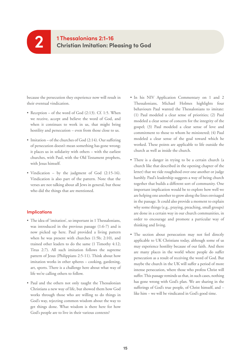because the persecution they experience now will result in their eventual vindication.

- Reception of the word of God (2:13). Cf. 1:5. When we receive, accept and believe the word of God, and when it continues to work in us, that might bring hostility and persecution – even from those close to us.
- Imitation of the churches of God (2:14). Our suffering of persecution doesn't mean something has gone wrong; it places us in solidarity with others – with the earliest churches, with Paul, with the Old Testament prophets, with Jesus himself.
- Vindication by the judgment of God (2:15-16). Vindication is also part of the pattern. Note that the verses are not talking about all Jews in general, but those who did the things that are mentioned.

- The idea of 'imitation', so important in 1 Thessalonians, was introduced in the previous passage (1:6-7) and is now picked up here. Paul provided a living pattern when he was present with churches (1:5b; 2:10), and trained other leaders to do the same (1 Timothy 4:12; Titus 2:7). All such imitation follows the supreme pattern of Jesus (Philippians 2:5-11). Think about how imitation works in other spheres – cooking, gardening, art, sports. There is a challenge here about what way of life we're calling others to follow.
- Paul and the others not only taught the Thessalonian Christians a new way of life, but showed them how God works through those who are willing to do things in God's way, rejecting common wisdom about the way to get things done. What wisdom is there here for how God's people are to live in their various contexts?
- In his NIV Application Commentary on 1 and 2 Thessalonians, Michael Holmes highlights four behaviours Paul wanted the Thessalonians to imitate: (1) Paul modeled a clear sense of priorities; (2) Paul modeled a clear sense of concern for the integrity of the gospel; (3) Paul modeled a clear sense of love and commitment to those to whom he ministered; (4) Paul modeled a clear sense of the goal toward which he worked. These points are applicable to life outside the church as well as inside the church.
- There is a danger in trying to be a certain church (a church like that described in the opening chapter of the letter) that we ride roughshod over one another or judge harshly. Paul's leadership suggests a way of being church together that builds a different sort of community. One important implication would be to explore how well we are helping one another to grow along the lines envisaged in the passage. It could also provide a moment to explain why some things (e.g., praying, preaching, small groups) are done in a certain way in our church communities, in order to encourage and promote a particular way of thinking and living.
- The section about persecution may not feel directly applicable to UK Christians today, although some of us may experience hostility because of our faith. And there are many places in the world where people do suffer persecution as a result of receiving the word of God. But maybe the church in the UK will suffer a period of more intense persecution, where those who profess Christ will suffer. This passage reminds us that, in such cases, nothing has gone wrong with God's plan. We are sharing in the sufferings of God's true people, of Christ himself, and – like him – we will be vindicated in God's good time.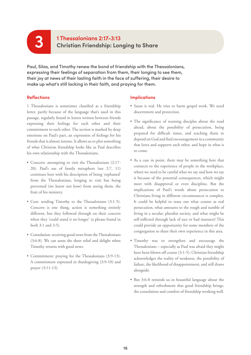### **1 Thessalonians 2:17-3:13 3 Christian Friendship: Longing to Share**

**Paul, Silas, and Timothy renew the bond of friendship with the Thessalonians, expressing their feelings of separation from them, their longing to see them, their joy at news of their lasting faith in the face of suffering, their desire to make up what's still lacking in their faith, and praying for them.**

#### **Reflections**

1 Thessalonians is sometimes classified as a friendship letter, partly because of the language that's used in this passage, regularly found in letters written between friends expressing their feelings for each other and their commitment to each other. The section is marked by deep emotions on Paul's part, an expression of feelings for his friends that is almost intense. It allows us to plot something of what Christian friendship looks like as Paul describes his own relationship with the Thessalonians.

- Concern: attempting to visit the Thessalonians (2:17- 20). Paul's use of family metaphors (see 2:7, 11) continues here with his description of being 'orphaned' from the Thessalonians, longing to visit but being prevented (we know not how) from seeing them, the fruit of his ministry.
- Cost: sending Timothy to the Thessalonians (3:1-5). Concern is one thing, action is something entirely different, but they followed through on their concern when they 'could stand it no longer' (a phrase found in both 3:1 and 3:5).
- Consolation: receiving good news from the Thessalonians (3:6-8). We can sense the sheer relief and delight when Timothy returns with good news.
- Commitment: praying for the Thessalonians (3:9-13). A commitment expressed in thanksgiving (3:9-10) and prayer (3:11-13).

- Satan is real. He tries to harm gospel work. We need discernment and protection.
- The significance of warning disciples about the road ahead, about the possibility of persecution, being prepared for difficult times, and teaching them to depend on God and find encouragement in a community that loves and supports each other, and hope in what is to come.
- As a case in point, there may be something here that connects to the experience of people in the workplace, where we need to be careful what we say and how we say it because of the potential consequences, which might meet with disapproval or even discipline. But the implications of Paul's words about persecution to Christians living in different circumstances is complex. It could be helpful to tease out what counts as real persecution, what amounts to the rough and tumble of living in a secular, pluralist society, and what might be self-inflicted through lack of tact or bad manners! This could provide an opportunity for some members of the congregation to share their own experience in this area.
- Timothy was to strengthen and encourage the Thessalonians – especially as Paul was afraid they might have been blown off course (3:1-5). Christian friendship acknowledges the reality of weakness, the possibility of failure, the likelihood of disappointment, and still draws alongside.
- But 3:6-8 reminds us in beautiful language about the strength and refreshment that good friendship brings, the consolation and comfort of friendship working well.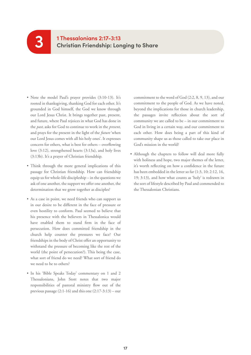### **1 Thessalonians 2:17-3:13 Christian Friendship: Longing to Share**

• Note the model Paul's prayer provides (3:10-13). It's rooted in thanksgiving, thanking God for each other. It's grounded in God himself, the God we know through our Lord Jesus Christ. It brings together past, present, and future, where Paul rejoices in what God has done in the *past*, asks for God to continue to work in the *present*, and prays for the present in the light of the *future* 'when our Lord Jesus comes with all his holy ones'. It expresses concern for others, what is best for others – overflowing love (3:12), strengthened hearts (3:13a), and holy lives (3:13b). It's a prayer of Christian friendship.

**3**

- Think through the more general implications of this passage for Christian friendship. How can friendship equip us for whole-life discipleship – in the questions we ask of one another, the support we offer one another, the determination that we grow together as disciples?
- As a case in point, we need friends who can support us in our desire to be different in the face of pressure or even hostility to conform. Paul seemed to believe that his presence with the believers in Thessalonica would have enabled them to stand firm in the face of persecution. How does committed friendship in the church help counter the pressures we face? Our friendships in the body of Christ offer an opportunity to withstand the pressure of becoming like the rest of the world (the point of persecution?). This being the case, what sort of friend do we need? What sort of friend do we need to be to others?
- In his 'Bible Speaks Today' commentary on 1 and 2 Thessalonians, John Stott notes that two major responsibilities of pastoral ministry flow out of the previous passage  $(2:1-16)$  and this one  $(2:17-3:13)$  – our

commitment to the word of God (2:2, 8, 9, 13), and our commitment to the people of God. As we have noted, beyond the implications for those in church leadership, the passages invite reflection about the sort of community we are called to be – in our commitment to God in living in a certain way, and our commitment to each other. How does being a part of this kind of community shape us as those called to take our place in God's mission in the world?

• Although the chapters to follow will deal more fully with holiness and hope, two major themes of the letter, it's worth reflecting on how a confidence in the future has been embedded in the letter so far (1:3, 10; 2:12, 16, 19; 3:13), and how what counts as 'holy' is redrawn in the sort of lifestyle described by Paul and commended to the Thessalonian Christians.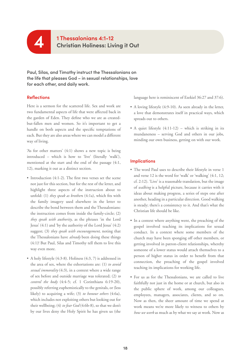

**Paul, Silas, and Timothy instruct the Thessalonians on the life that pleases God – in sexual relationships, love for each other, and daily work.**

#### **Reflections**

Here is a sermon for the scattered life. Sex and work are two fundamental aspects of life that were affected back in the garden of Eden. They define who we are as createdbut-fallen men and women. So it's important to get a handle on both aspects and the specific temptations of each. But they are also areas where we can model a different way of living.

'As for other matters' (4:1) shows a new topic is being introduced – which is how to 'live' (literally 'walk'), mentioned at the start and the end of the passage (4:1, 12), marking it out as a distinct section.

- Introduction (4:1-2). The first two verses set the scene not just for this section, but for the rest of the letter, and highlight three aspects of the instruction about to unfold: (1) *they speak as brother*s (4:1a), which fits with the family imagery used elsewhere in the letter to describe the bond between them and the Thessalonians: the instruction comes from inside the family-circle; (2) *they speak with authority*, as the phrases 'in the Lord Jesus' (4:1) and 'by the authority of the Lord Jesus' (4:2) suggest; (3) *they speak with encouragement*, noting that the Thessalonians have *already* been doing these things (4:1)! But Paul, Silas and Timothy tell them to live this way even more.
- A holy lifestyle (4:3-8). Holiness (4:3, 7) is addressed in the area of sex, where the exhortations are: (1) *to avoid sexual immorality* (4:3), in a context where a wide range of sex before and outside marriage was tolerated; (2) *to control the body* (4:4-5; cf. 1 Corinthians 6:19-20), possibly referring euphemistically to the genitals, or (less likely) to acquiring a wife; (3) *to honour others* (4:6a), which includes not exploiting others but looking out for their wellbeing; (4) *to fear God* (4:6b-8), so that we don't by our lives deny the Holy Spirit he has given us (the

language here is reminiscent of Ezekiel 36:27 and 37:6).

- A loving lifestyle (4:9-10). As seen already in the letter, a love that demonstrates itself in practical ways, which spreads out to others.
- A quiet lifestyle (4:11-12) which is striking in its mundaneness – serving God and others in our jobs, minding our own business, getting on with our work.

- The word Paul uses to describe their lifestyle in verse 1 and verse 12 is the word for 'walk' or 'walking' (4:1, 12; cf. 2:12). 'Live' is a reasonable translation, but the image of *walking* is a helpful picture, because it carries with it ideas about making progress, a series of steps one after another, heading in a particular direction. Good walking is steady; there's a consistency to it. And that's what the Christian life should be like.
- In a context where anything went, the preaching of the gospel involved teaching its implications for sexual conduct. In a context where some members of the church may have been sponging off other members, or getting involved in patron-client relationships, whereby someone of a lower status would attach themselves to a person of higher status in order to benefit from that connection, the preaching of the gospel involved teaching its implications for working life.
- For us as for the Thessalonians, we are called to live faithfully not just in the home or at church, but also in the public sphere of work, among our colleagues, employees, managers, associates, clients, and so on. Now as then, the sheer amount of time we spend at work means we're more likely to witness to others by *how we work* as much as by what we say at work. Now as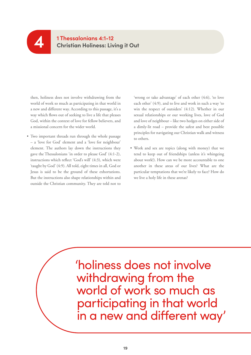

#### **1 Thessalonians 4:1-12 Christian Holiness: Living it Out**

then, holiness does not involve withdrawing from the world of work so much as participating in that world in a new and different way. According to this passage, it's a way which flows out of seeking to live a life that pleases God, within the context of love for fellow believers, and a missional concern for the wider world.

• Two important threads run through the whole passage – a 'love for God' element and a 'love for neighbour' element. The authors lay down the instructions they gave the Thessalonians 'in order to please God' (4:1-2), instructions which reflect 'God's will' (4:3), which were 'taught by God' (4:9). All told, eight times in all, God or Jesus is said to be the ground of these exhortations. But the instructions also shape relationships within and outside the Christian community. They are told not to 'wrong or take advantage' of each other (4:6), 'to love each other' (4:9), and to live and work in such a way 'to win the respect of outsiders' (4:12). Whether in our sexual relationships or our working lives, love of God and love of neighbour – like two hedges on either side of a dimly-lit road – provide the safest and best possible principles for navigating our Christian walk and witness to others.

• Work and sex are topics (along with money) that we tend to keep out of friendships (unless it's whingeing about work!). How can we be more accountable to one another in these areas of our lives? What are the particular temptations that we're likely to face? How do we live a holy life in these arenas?

'holiness does not involve withdrawing from the world of work so much as participating in that world in a new and different way'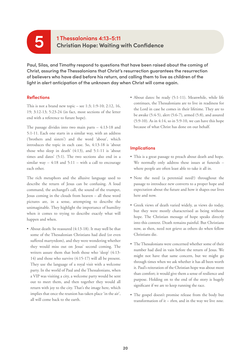## **1 Thessalonians 4:13-5:11 5 Christian Hope: Waiting with Confidence**

**Paul, Silas, and Timothy respond to questions that have been raised about the coming of Christ, assuring the Thessalonians that Christ's resurrection guarantees the resurrection of believers who have died before his return, and calling them to live as children of the light in alert anticipation of the unknown day when Christ will come again.**

#### **Reflections**

This is not a brand new topic – see 1:3; 1:9-10; 2:12, 16, 19; 3:12-13; 5:23-24 (in fact, most sections of the letter end with a reference to future hope).

The passage divides into two main parts – 4:13-18 and 5:1-11. Each one starts in a similar way, with an address ('brothers and sisters') and the word 'about', which introduces the topic in each case. So, 4:13-18 is 'about those who sleep in death' (4:13), and 5:1-11 is 'about times and dates' (5:1). The two sections also end in a similar way  $-4:18$  and  $5:11$  – with a call to encourage each other.

The rich metaphors and the allusive language used to describe the return of Jesus can be confusing. A loud command, the archangel's call, the sound of the trumpet, Jesus coming in the clouds from heaven – all these word pictures are, in a sense, attempting to describe the unimaginable. They highlight the importance of humility when it comes to trying to describe exactly what will happen and when.

• About death: be reassured (4:13-18). It may well be that some of the Thessalonian Christians had died (or even suffered martyrdom), and they were wondering whether they would miss out on Jesus' second coming. The writers assure them that both those who 'sleep' (4:13- 14) and those who survive (4:15-17) will all be present. They use the language of a royal visit with a welcome party. In the world of Paul and the Thessalonians, when a VIP was visiting a city, a welcome party would be sent out to meet them, and then together they would all return with joy to the city. That's the image here, which implies that once the reunion has taken place 'in the air', all will come back to the earth.

• About dates: be ready (5:1-11). Meanwhile, while life continues, the Thessalonians are to live in readiness for the Lord in case he comes in their lifetime. They are to be awake (5:4-5), alert (5:6-7), armed (5:8), and assured (5:9-10). As in 4:14, so in 5:9-10, we can have this hope because of what Christ has done on our behalf.

- This is a great passage to preach about death and hope. We normally only address these issues at funerals where people are often least able to take it all in.
- Note the need (a perennial need?) throughout the passage to introduce new converts to a proper hope and expectation about the future and how it shapes our lives here and now.
- Greek views of death varied widely, as views do today, but they were mostly characterised as being without hope. The Christian message of hope speaks directly into this context. Death remains painful. But Christians now, as then, need not grieve as others do when fellow Christians die.
- The Thessalonians were concerned whether some of their number had died in vain before the return of Jesus. We might not have that same concern, but we might go through times when we ask whether it has all been worth it. Paul's reiteration of the Christian hope was about more than comfort; it would give them a sense of resilience and purpose. Holding on to the end of the story is hugely significant if we are to keep running the race.
- The gospel doesn't promise release from the body but transformation of it – *then*, and in the way we live *now*.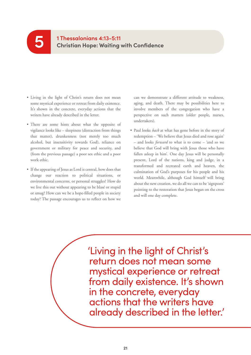### **1 Thessalonians 4:13-5:11 Christian Hope: Waiting with Confidence**

• Living in the light of Christ's return does not mean some mystical experience or retreat from daily existence. It's shown in the concrete, everyday actions that the writers have already described in the letter.

**5**

- There are some hints about what the opposite of vigilance looks like – sleepiness (distraction from things that matter), drunkenness (not merely too much alcohol, but insensitivity towards God), reliance on government or military for peace and security, and (from the previous passage) a poor sex ethic and a poor work ethic.
- If the appearing of Jesus as Lord is central, how does that change our reaction to political situations, or environmental concerns, or personal struggles? How do we live this out without appearing to be blasé or stupid or smug? How can we be a hope-filled people in society today? The passage encourages us to reflect on how we

can we demonstrate a different attitude to weakness, aging, and death. There may be possibilities here to involve members of the congregation who have a perspective on such matters (older people, nurses, undertakers).

• Paul looks *back* at what has gone before in the story of redemption – 'We believe that Jesus died and rose again' – and looks *forward* to what is to come – 'and so we believe that God will bring with Jesus those who have fallen asleep in him'. One day Jesus will be personally present, Lord of the nations, king and judge, in a transformed and recreated earth and heaven, the culmination of God's purposes for his people and his world. Meanwhile, although God himself will bring about the new creation, we do all we can to be 'signposts' pointing to the restoration that Jesus began on the cross and will one day complete.

'Living in the light of Christ's return does not mean some mystical experience or retreat from daily existence. It's shown in the concrete, everyday actions that the writers have already described in the letter.'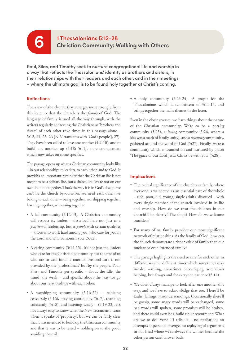### **1 Thessalonians 5:12-28 6 Christian Community: Walking with Others**

**Paul, Silas, and Timothy seek to nurture congregational life and worship in a way that reflects the Thessalonians' identity as brothers and sisters, in their relationships with their leaders and each other, and in their meetings – where the ultimate goal is to be found holy together at Christ's coming.**

#### **Reflections**

The view of the church that emerges most strongly from this letter is that the church is the *family* of God. The language of family is used all the way through, with the writers regularly addressing the Christians as 'brothers and sisters' of each other (five times in this passage alone – 5:12, 14, 25, 26 [NIV translates with 'God's people'], 27). They have been called to love one another (4:9-10), and to build one another up (4:18; 5:11), an encouragement which now takes on some specifics.

The passage opens up what a Christian community looks like – in our relationships to leaders, to each other, and to God. It provides an important reminder that the Christian life is not meant to be a solitary life, but a shared life. We're not on our own, but in it together. That's the way it is in God's design: we can't be the church by ourselves; we need each other; we belong to each other – being together, worshipping together, learning together, witnessing together.

- A led community (5:12-13). A Christian community will respect its leaders – described here not just as a *position* of leadership, but as *people* with certain qualities – 'those who work hard among you, who care for you in the Lord and who admonish you' (5:12).
- A caring community (5:14-15). It's not just the leaders who care for the Christian community but the rest of us who are to care for one another. Pastoral care is not provided by the 'professionals' but by the people. Paul, Silas, and Timothy get specific – about the idle, the timid, the weak – and specific about the way we go about our relationships with each other.
- A worshipping community (5:16-22) rejoicing ceaselessly (5:16), praying continually (5:17), thanking constantly  $(5:18)$ , and listening wisely –  $(5:19-22)$ . It's not always easy to know what the New Testament means when it speaks of 'prophecy', but we can be fairly clear that it was intended to build up the Christian community and that it was to be tested – holding on to the good, avoiding the evil.

• A holy community (5:23-24). A prayer for the Thessalonians which is reminiscent of 3:11-13, and brings together the main themes in the letter.

Even in the closing verses, we learn things about the nature of the Christian community. We're to be a *praying* community (5:25), a *loving* community (5:26, where a kiss was a mark of family unity), and a *listening* community, gathered around the word of God (5:27). Finally, we're a community which is founded on and nurtured by grace: 'The grace of our Lord Jesus Christ be with you' (5:28).

- The radical significance of the church as a family, where everyone is welcomed as an essential part of the whole – rich, poor, old, young, single adults, divorced – with every single member of the church involved in its life and worship. How do we treat the children in our church? The elderly? The single? How do we welcome outsiders?
- For many of us, family provides our most significant network of relationships. As the family of God, how can the church demonstrate a richer value of family than our nuclear or even extended family?
- The passage highlights the need to care for each other in different ways at different times which sometimes may involve warning, sometimes encouraging, sometimes helping, but always and for everyone patience (5:14).
- We don't always manage to look after one another this way, and we have to acknowledge that too. There'll be faults, failings, misunderstandings. Occasionally there'll be gossip, some angry words will be exchanged, some bad words will spoken, some promises will be broken, and there could even be a build up of resentment. What are we to do? Verse 15 tells us – no retaliation; no attempts at personal revenge; no replaying of arguments in our head where we're always the winner because the other person can't answer back.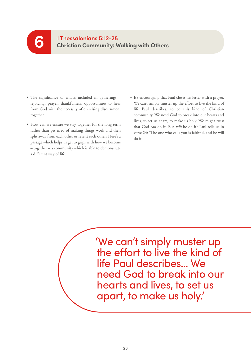#### **1 Thessalonians 5:12-28 Christian Community: Walking with Others 6**

- The significance of what's included in gatherings rejoicing, prayer, thankfulness, opportunities to hear from God with the necessity of exercising discernment together.
- How can we ensure we stay together for the long term rather than get tired of making things work and then split away from each other or resent each other? Here's a passage which helps us get to grips with how we become – together – a community which is able to demonstrate a different way of life.
- It's encouraging that Paul closes his letter with a prayer. We can't simply muster up the effort to live the kind of life Paul describes, to be this kind of Christian community. We need God to break into our hearts and lives, to set us apart, to make us holy. We might trust that God *can* do it. But *will* he do it? Paul tells us in verse 24: 'The one who calls you is faithful, and he will do it.'

'We can't simply muster up the effort to live the kind of life Paul describes... We need God to break into our hearts and lives, to set us apart, to make us holy.'